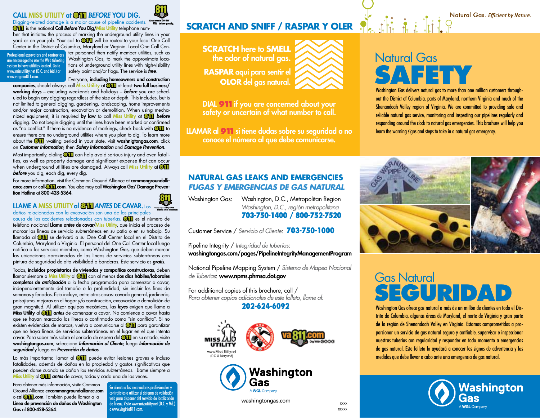### Call Miss Utility at **811***Before* You Dig.



Digging-related damage is a major cause of pipeline accidents. Know whats below 811 is the national Call *Before* You Dig/Miss Utility telephone num-

ber that initiates the process of marking the underground utility lines in your yard or on your job. Your call to **811** will be routed to your local One Call Center in the District of Columbia, Maryland or Virginia. Local One Call Cen-

Professional excavators and contractors are encouraged to use the Web ticketing system to have utilities located. Go to www.missutility.net (D.C. and Md.) or www.virginia811.com.

ter personnel then notify member utilities, such as Washington Gas, to mark the approximate locations of underground utility lines with high-visibility safety paint and/or flags. The service is *free*.

Everyone, including homeowners and construction companies, should always call Miss Utility at **811** at least two full business/ working days – excluding weekends and holidays – *before* you are scheduled to begin any digging regardless of the size or depth. This includes, but is not limited to general digging, gardening, landscaping, home improvements and/or major construction, excavation or demolition. When using mechanized equipment, it is required by law to call Miss Utility at **811** *before* digging. Do not begin digging until the lines have been marked or confirmed as "no conflict." If there is no evidence of markings, check back with **811** to ensure there are no underground utilities where you plan to dig. To learn more about the **811** waiting period in your state, visit washnigtongas.com, click on *Customer Information*, then *Safety Information* and *Damage Prevention*.

Most importantly, dialing **811** can help avoid serious injury and even fatalities, as well as property damage and significant expense that can occur when underground utilities are damaged. Always call Miss Utility at **811** *before* you dig, each dig, every dig.

For more information, visit the Common Ground Alliance at commongroundalliance.com or call**811**.com. You also may call Washington Gas' Damage Prevention Hotline at 800-428-5364.

### Llame a Miss Utilityal **811***Antes* de cavar. Los

daños relacionados con la excavación son una de las principales causa de los accidentes relacionados con tuberías. **811** es el número de teléfono nacional Llame *antes* de cavar/Miss Utility, que inicia el proceso de marcar las líneas de servicio subterráneas en su patio o en su trabajo. Su llamada al **811** se derivará a su One Call Center local en el Distrito de Columbia, Maryland o Virginia. El personal del One Call Center local luego notifica a los servicios miembro, como Washington Gas, que deben marcar las ubicaciones aproximadas de las líneas de servicios subterráneas con pintura de seguridad de alta visibilidad o banderas. Este servicio es *gratis*.

Todos, incluidos propietarios de viviendas y compañías constructoras, deben llamar siempre a Miss Utility al **811** con al menos dos días hábiles/laborales completos de *anticipación* a la fecha programada para comenzar a cavar, independientemente del tamaño o la profundidad, sin incluir los fines de semanas y feriados. Esto incluye, entre otras cosas: cavado general, jardinería, paisajismo, mejoras en el hogar y/o construcción, excavación o demolición de gran magnitud. Al utilizar equipos mecánicos, las *leyes* exigen que llame a Miss Utility al **811** *antes* de comenzar a cavar. No comience a cavar hasta que se hayan marcado las líneas o confirmado como "sin conflicto". Si no existen evidencias de marcas, vuelva a comunicarse al **811** para garantizar que no haya líneas de servicios subterráneas en el lugar en el que intenta cavar. Para saber más sobre el periodo de espera del **811** en su estado, visite washingtongas.com, seleccione *Información al Cliente*, luego *Información de seguridad* y luego en *Prevención de daños*.

Lo más importante: llamar al **811** puede evitar lesiones graves e incluso fatalidades, además de daños en la propiedad y gastos significativos que pueden darse cuando se dañan los servicios subterráneos. Llame siempre a Miss Utility al **811** *antes* de cavar, todas y cada una de las veces.

Para obtener más información, visite Common Ground Alliance encommongroundalliance.com o call**811**.com. También puede llamar a la Línea de prevención de daños de Washington Gas al 800-428-5364.

Se alienta a los excavadores profesionales y contratistas a utilizar el sistema de validación web para disponer del servicio de localización<br>de líneas. Visite www.missutility.net (D.C. y Md.) o www.virginia811.com.

# **SCRATCH AND SNIFF / RASPAR Y OLER**

**Scratch** here to **smell** the odor of natural gas. **RASPAR** aquí para sentir el **OLOR** del gas natural.



DIAL 911 if you are concerned about your safety or uncertain of what number to call.

LLAMAR al **911** si tiene dudas sobre su seguridad o no conoce el número al que debe comunicarse.

### **Natural Gas Leaks and Emergencies** *FUGAS Y EMERGENCIAS DE GAS NATURAL*

Washington Gas: Washington, D.C., Metropolitan Region *Washington, D.C., región metropolitana* 703-750-1400 / 800-752-7520

Customer Service / *Servicio al Cliente*: 703-750-1000

Pipeline Integrity / *Integridad de tuberías*:

washingtongas.com/pages/PipelineIntegrityManagementProgram

National Pipeline Mapping System / *Sistema de Mapeo Nacional de Tuberías*: www.npms.phmsa.dot.gov

For additional copies of this brochure, call / *Para obtener copias adicionales de este folleto, llame al:*

### 202-624-6092





washingtongas.com

# Natural Gas **Safety**

Washington Gas delivers natural gas to more than one million customers throughout the District of Columbia, parts of Maryland, northern Virginia and much of the Shenandoah Valley region of Virginia. We are committed to providing safe and reliable natural gas service, monitoring and inspecting our pipelines regularly and responding around the clock to natural gas emergencies. This brochure will help you learn the warning signs and steps to take in a natural gas emergency.



## Gas Natural SEGURIDA

Washington Gas ofrece gas natural a más de un millón de clientes en todo el Distrito de Columbia, algunas áreas de Maryland, el norte de Virginia y gran parte de la región de Shenandoah Valley en Virginia. Estamos comprometidos a proporcionar un servicio de gas natural seguro y confiable, supervisar e inspeccionar nuestras tuberías con regularidad y responder en todo momento a emergencias de gas natural. Este folleto lo ayudará a conocer los signos de advertencia y las medidas que debe llevar a cabo ante una emergencia de gas natural.



xxxx xxxxx